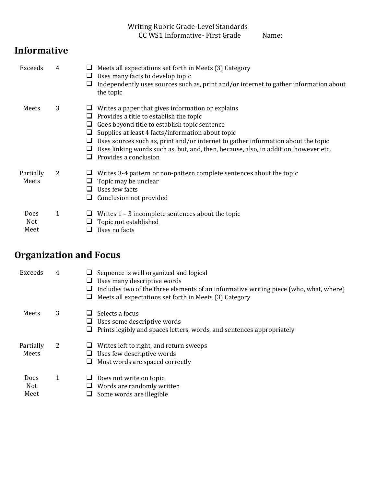Writing Rubric Grade-Level Standards CC WS1 Informative- First Grade Name:

## **Informative**

| Exceeds                    | 4            | Meets all expectations set forth in Meets (3) Category<br>Uses many facts to develop topic<br>Independently uses sources such as, print and/or internet to gather information about<br>the topic                                                                                                                                                                                                                                  |
|----------------------------|--------------|-----------------------------------------------------------------------------------------------------------------------------------------------------------------------------------------------------------------------------------------------------------------------------------------------------------------------------------------------------------------------------------------------------------------------------------|
| Meets                      | 3            | Writes a paper that gives information or explains<br>Provides a title to establish the topic<br>⊔<br>Goes beyond title to establish topic sentence<br>⊔<br>Supplies at least 4 facts/information about topic<br>⊔<br>Uses sources such as, print and/or internet to gather information about the topic<br>⊔<br>Uses linking words such as, but, and, then, because, also, in addition, however etc.<br>ப<br>Provides a conclusion |
| Partially<br>Meets         | 2            | Writes 3-4 pattern or non-pattern complete sentences about the topic<br>Topic may be unclear<br>ப<br>Uses few facts<br>H<br>Conclusion not provided<br>⊔                                                                                                                                                                                                                                                                          |
| <b>Does</b><br>Not<br>Meet | $\mathbf{1}$ | Writes $1 - 3$ incomplete sentences about the topic<br>Topic not established<br>Uses no facts                                                                                                                                                                                                                                                                                                                                     |

## **Organization and Focus**

| Exceeds                           | 4 | Sequence is well organized and logical<br>Uses many descriptive words<br>Includes two of the three elements of an informative writing piece (who, what, where)<br>Meets all expectations set forth in Meets (3) Category<br>⊔ |
|-----------------------------------|---|-------------------------------------------------------------------------------------------------------------------------------------------------------------------------------------------------------------------------------|
| Meets                             | 3 | Selects a focus<br>Uses some descriptive words<br>Prints legibly and spaces letters, words, and sentences appropriately                                                                                                       |
| Partially<br>Meets                | 2 | Writes left to right, and return sweeps<br>Uses few descriptive words<br>Most words are spaced correctly                                                                                                                      |
| <b>Does</b><br><b>Not</b><br>Meet | 1 | Does not write on topic<br>Words are randomly written<br>Some words are illegible                                                                                                                                             |